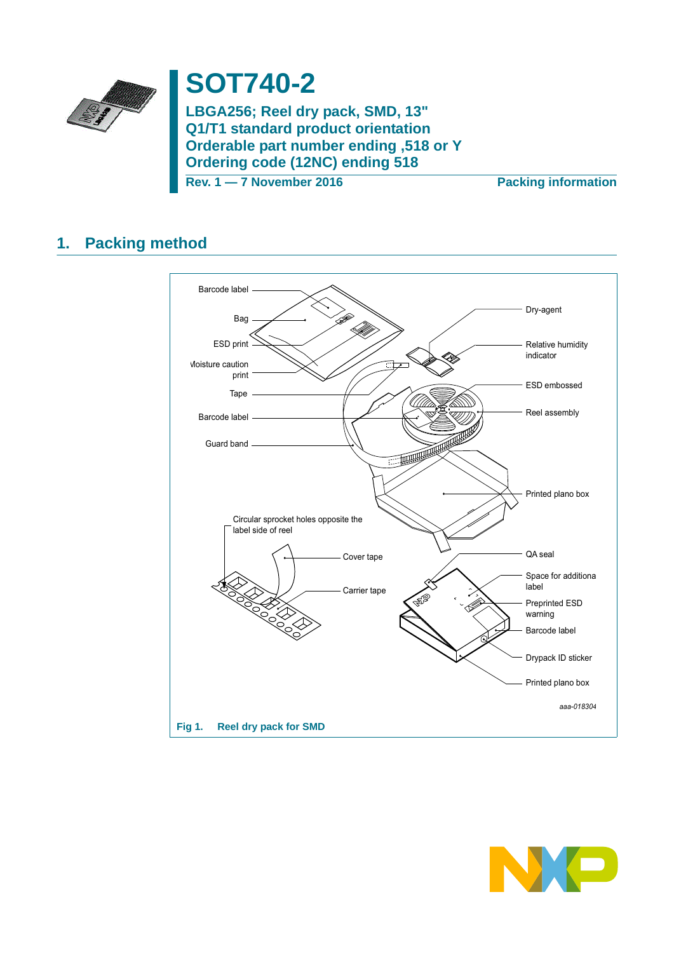

# **SOT740-2**

**LBGA256; Reel dry pack, SMD, 13" Q1/T1 standard product orientation Orderable part number ending ,518 or Y Ordering code (12NC) ending 518**

**Rev. 1 — 7 November 2016 Packing information**

## **1. Packing method**



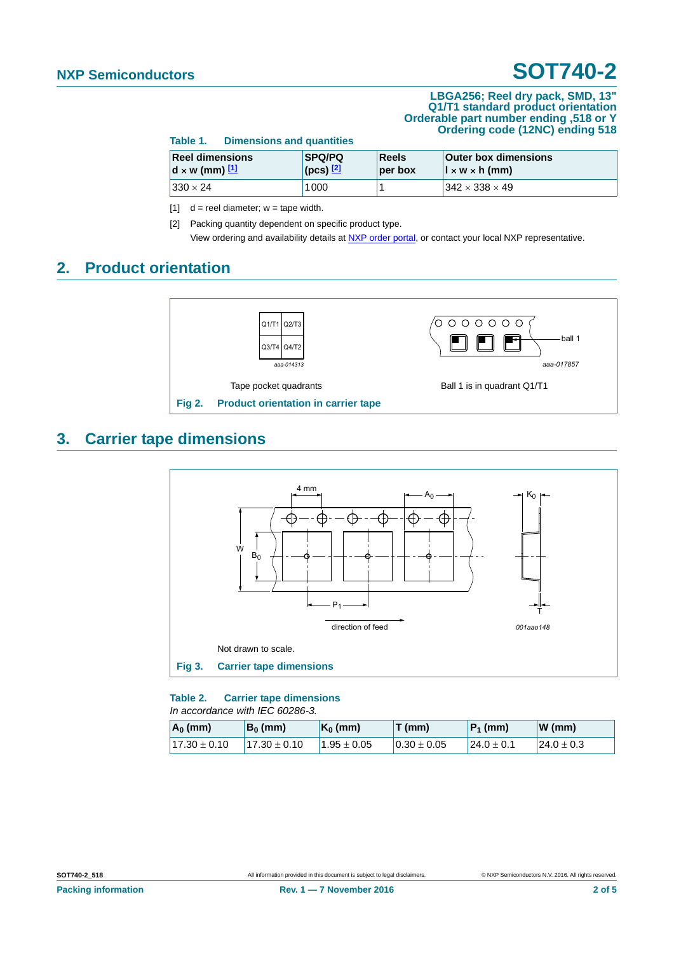#### **LBGA256; Reel dry pack, SMD, 13" Q1/T1 standard product orientation Orderable part number ending ,518 or Y Ordering code (12NC) ending 518**

| <b>Dimensions and quantities</b><br>Table 1. |                                                  |  |                                  |                         |                                                                |  |  |
|----------------------------------------------|--------------------------------------------------|--|----------------------------------|-------------------------|----------------------------------------------------------------|--|--|
|                                              | <b>Reel dimensions</b><br>$d \times w$ (mm) $11$ |  | <b>SPQ/PQ</b><br>$ $ (pcs) $ 2 $ | <b>Reels</b><br>per box | <b>Outer box dimensions</b><br>$\vert x \wedge x \rangle$ (mm) |  |  |
|                                              | $330 \times 24$                                  |  | 1000                             |                         | $342 \times 338 \times 49$                                     |  |  |

<span id="page-1-0"></span>[1]  $d =$  reel diameter;  $w =$  tape width.

<span id="page-1-1"></span>[2] Packing quantity dependent on specific product type. View ordering and availability details at [NXP order portal](http://www.nxp.com/order-portal/), or contact your local NXP representative.

### **2. Product orientation**



### **3. Carrier tape dimensions**



**Table 2. Carrier tape dimensions** *In accordance with IEC 60286-3.*

| $ A_0 $ (mm)     | $B_0$ (mm)       | $K_0$ (mm)                            | T(mm)            | $ P_1$ (mm)    | $\mathbf{W}$ (mm) |
|------------------|------------------|---------------------------------------|------------------|----------------|-------------------|
| $17.30 \pm 0.10$ | $17.30 \pm 0.10$ | $^{\circ}$ 1.95 $\pm$ 0.05 $^{\circ}$ | $10.30 \pm 0.05$ | $24.0 \pm 0.1$ | $124.0 \pm 0.3$   |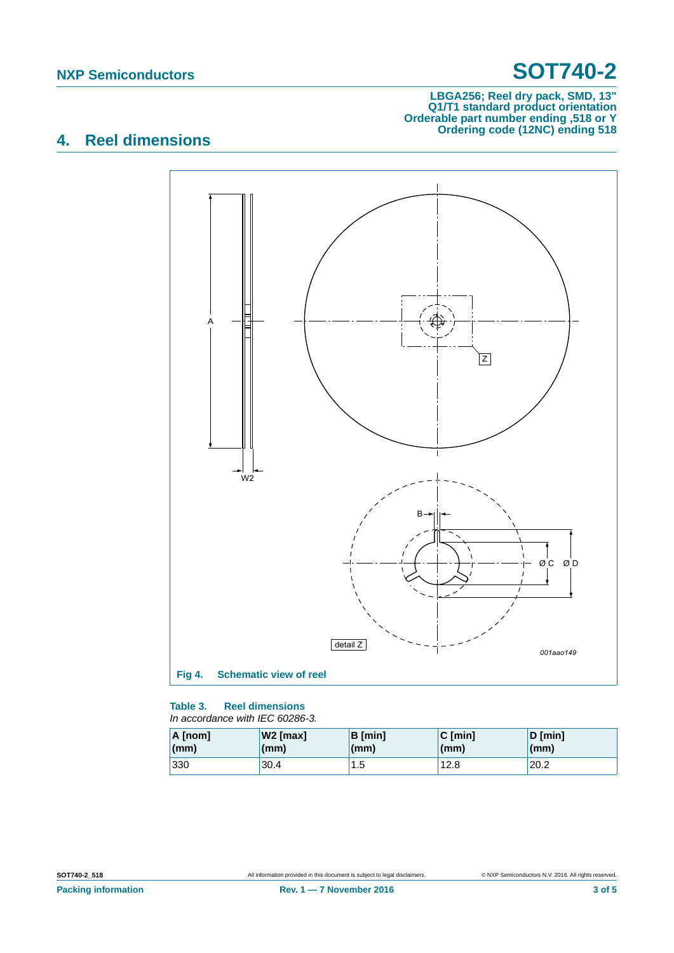#### **LBGA256; Reel dry pack, SMD, 13" Q1/T1 standard product orientation Orderable part number ending ,518 or Y Ordering code (12NC) ending 518**

## **4. Reel dimensions**



### **Table 3. Reel dimensions**

#### *In accordance with IEC 60286-3.*

| A [nom] | W <sub>2</sub> [max] | <b>B</b> [min] | $C$ [min] | $D$ [min]    |
|---------|----------------------|----------------|-----------|--------------|
| (mm)    | (mm)                 | (mm)           | (mm)      | $\mathsf{m}$ |
| 330     | 30.4                 | 1.5            | 12.8      | 20.2         |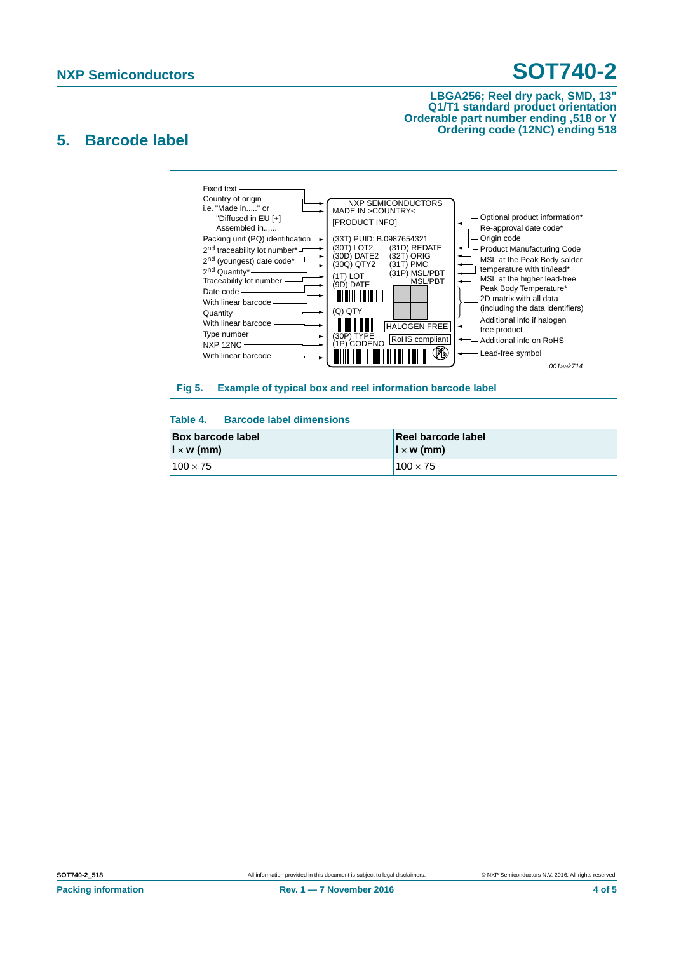#### **LBGA256; Reel dry pack, SMD, 13" Q1/T1 standard product orientation Orderable part number ending ,518 or Y Ordering code (12NC) ending 518**

### **5. Barcode label**



### **Table 4. Barcode label dimensions**

| <b>Box barcode label</b> | Reel barcode label       |  |
|--------------------------|--------------------------|--|
| $\vert x \rangle$ (mm)   | $\vert x \rangle$ w (mm) |  |
| $100 \times 75$          | $100 \times 75$          |  |